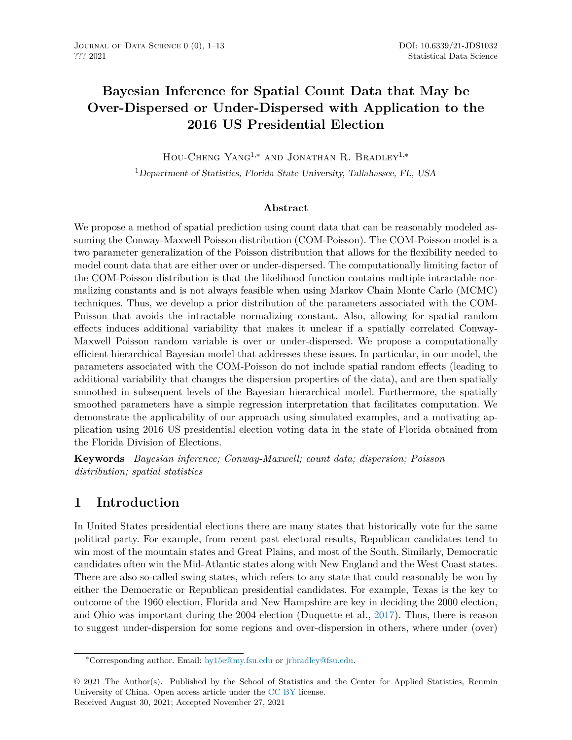# **Bayesian Inference for Spatial Count Data that May be Over-Dispersed or Under-Dispersed with Application to the 2016 US Presidential Election**

Hou-Cheng Yang1,<sup>∗</sup> and Jonathan R. Bradley1,<sup>∗</sup>

<sup>1</sup>*Department of Statistics, Florida State University, Tallahassee, FL, USA*

### **Abstract**

We propose a method of spatial prediction using count data that can be reasonably modeled assuming the Conway-Maxwell Poisson distribution (COM-Poisson). The COM-Poisson model is a two parameter generalization of the Poisson distribution that allows for the flexibility needed to model count data that are either over or under-dispersed. The computationally limiting factor of the COM-Poisson distribution is that the likelihood function contains multiple intractable normalizing constants and is not always feasible when using Markov Chain Monte Carlo (MCMC) techniques. Thus, we develop a prior distribution of the parameters associated with the COM-Poisson that avoids the intractable normalizing constant. Also, allowing for spatial random effects induces additional variability that makes it unclear if a spatially correlated Conway-Maxwell Poisson random variable is over or under-dispersed. We propose a computationally efficient hierarchical Bayesian model that addresses these issues. In particular, in our model, the parameters associated with the COM-Poisson do not include spatial random effects (leading to additional variability that changes the dispersion properties of the data), and are then spatially smoothed in subsequent levels of the Bayesian hierarchical model. Furthermore, the spatially smoothed parameters have a simple regression interpretation that facilitates computation. We demonstrate the applicability of our approach using simulated examples, and a motivating application using 2016 US presidential election voting data in the state of Florida obtained from the Florida Division of Elections.

**Keywords** *Bayesian inference; Conway-Maxwell; count data; dispersion; Poisson distribution; spatial statistics*

## **1 Introduction**

In United States presidential elections there are many states that historically vote for the same political party. For example, from recent past electoral results, Republican candidates tend to win most of the mountain states and Great Plains, and most of the South. Similarly, Democratic candidates often win the Mid-Atlantic states along with New England and the West Coast states. There are also so-called swing states, which refers to any state that could reasonably be won by either the Democratic or Republican presidential candidates. For example, Texas is the key to outcome of the 1960 election, Florida and New Hampshire are key in deciding the 2000 election, and Ohio was important during the 2004 election (Duquette et al., [2017](#page-11-0)). Thus, there is reason to suggest under-dispersion for some regions and over-dispersion in others, where under (over)

<sup>∗</sup>Corresponding author. Email: [hy15e@my.fsu.edu](mailto:hy15e@my.fsu.edu) or [jrbradley@fsu.edu](mailto:jrbradley@fsu.edu).

<sup>© 2021</sup> The Author(s). Published by the School of Statistics and the Center for Applied Statistics, Renmin University of China. Open access article under the [CC BY](https://creativecommons.org/licenses/by/4.0/) license. Received August 30, 2021; Accepted November 27, 2021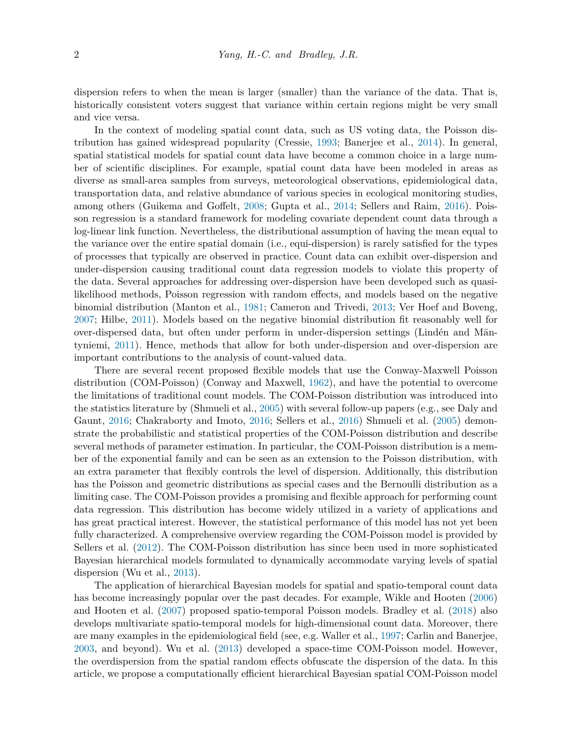dispersion refers to when the mean is larger (smaller) than the variance of the data. That is, historically consistent voters suggest that variance within certain regions might be very small and vice versa.

In the context of modeling spatial count data, such as US voting data, the Poisson distribution has gained widespread popularity (Cressie, [1993;](#page-11-1) Banerjee et al., [2014](#page-11-2)). In general, spatial statistical models for spatial count data have become a common choice in a large number of scientific disciplines. For example, spatial count data have been modeled in areas as diverse as small-area samples from surveys, meteorological observations, epidemiological data, transportation data, and relative abundance of various species in ecological monitoring studies, among others (Guikema and Goffelt, [2008](#page-11-3); Gupta et al., [2014](#page-11-4); Sellers and Raim, [2016\)](#page-12-0). Poisson regression is a standard framework for modeling covariate dependent count data through a log-linear link function. Nevertheless, the distributional assumption of having the mean equal to the variance over the entire spatial domain (i.e., equi-dispersion) is rarely satisfied for the types of processes that typically are observed in practice. Count data can exhibit over-dispersion and under-dispersion causing traditional count data regression models to violate this property of the data. Several approaches for addressing over-dispersion have been developed such as quasilikelihood methods, Poisson regression with random effects, and models based on the negative binomial distribution (Manton et al., [1981](#page-12-1); Cameron and Trivedi, [2013](#page-11-5); Ver Hoef and Boveng, [2007](#page-12-2); Hilbe, [2011\)](#page-12-3). Models based on the negative binomial distribution fit reasonably well for over-dispersed data, but often under perform in under-dispersion settings (Lindén and Mäntyniemi, [2011\)](#page-12-4). Hence, methods that allow for both under-dispersion and over-dispersion are important contributions to the analysis of count-valued data.

There are several recent proposed flexible models that use the Conway-Maxwell Poisson distribution (COM-Poisson) (Conway and Maxwell, [1962](#page-11-6)), and have the potential to overcome the limitations of traditional count models. The COM-Poisson distribution was introduced into the statistics literature by (Shmueli et al., [2005\)](#page-12-5) with several follow-up papers (e.g., see Daly and Gaunt, [2016](#page-11-7); Chakraborty and Imoto, [2016;](#page-11-8) Sellers et al., [2016](#page-12-6)) Shmueli et al. [\(2005](#page-12-5)) demonstrate the probabilistic and statistical properties of the COM-Poisson distribution and describe several methods of parameter estimation. In particular, the COM-Poisson distribution is a member of the exponential family and can be seen as an extension to the Poisson distribution, with an extra parameter that flexibly controls the level of dispersion. Additionally, this distribution has the Poisson and geometric distributions as special cases and the Bernoulli distribution as a limiting case. The COM-Poisson provides a promising and flexible approach for performing count data regression. This distribution has become widely utilized in a variety of applications and has great practical interest. However, the statistical performance of this model has not yet been fully characterized. A comprehensive overview regarding the COM-Poisson model is provided by Sellers et al. [\(2012](#page-12-7)). The COM-Poisson distribution has since been used in more sophisticated Bayesian hierarchical models formulated to dynamically accommodate varying levels of spatial dispersion (Wu et al., [2013\)](#page-12-8).

The application of hierarchical Bayesian models for spatial and spatio-temporal count data has become increasingly popular over the past decades. For example, Wikle and Hooten ([2006\)](#page-12-9) and Hooten et al. [\(2007\)](#page-12-10) proposed spatio-temporal Poisson models. Bradley et al. [\(2018](#page-11-9)) also develops multivariate spatio-temporal models for high-dimensional count data. Moreover, there are many examples in the epidemiological field (see, e.g. Waller et al., [1997](#page-12-11); Carlin and Banerjee, [2003](#page-11-10), and beyond). Wu et al. ([2013\)](#page-12-8) developed a space-time COM-Poisson model. However, the overdispersion from the spatial random effects obfuscate the dispersion of the data. In this article, we propose a computationally efficient hierarchical Bayesian spatial COM-Poisson model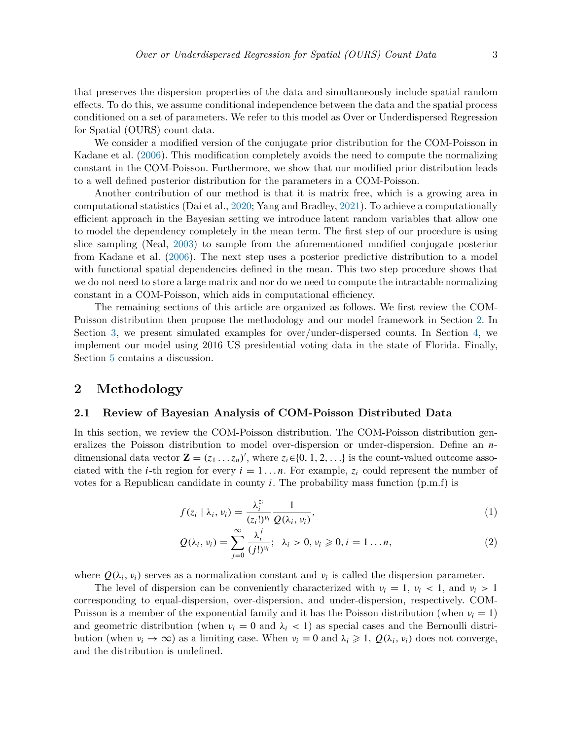that preserves the dispersion properties of the data and simultaneously include spatial random effects. To do this, we assume conditional independence between the data and the spatial process conditioned on a set of parameters. We refer to this model as Over or Underdispersed Regression for Spatial (OURS) count data.

We consider a modified version of the conjugate prior distribution for the COM-Poisson in Kadane et al. [\(2006](#page-12-12)). This modification completely avoids the need to compute the normalizing constant in the COM-Poisson. Furthermore, we show that our modified prior distribution leads to a well defined posterior distribution for the parameters in a COM-Poisson.

Another contribution of our method is that it is matrix free, which is a growing area in computational statistics (Dai et al., [2020](#page-11-11); Yang and Bradley, [2021\)](#page-12-13). To achieve a computationally efficient approach in the Bayesian setting we introduce latent random variables that allow one to model the dependency completely in the mean term. The first step of our procedure is using slice sampling (Neal, [2003](#page-12-14)) to sample from the aforementioned modified conjugate posterior from Kadane et al. ([2006\)](#page-12-12). The next step uses a posterior predictive distribution to a model with functional spatial dependencies defined in the mean. This two step procedure shows that we do not need to store a large matrix and nor do we need to compute the intractable normalizing constant in a COM-Poisson, which aids in computational efficiency.

The remaining sections of this article are organized as follows. We first review the COM-Poisson distribution then propose the methodology and our model framework in Section [2.](#page-2-0) In Section [3](#page-5-0), we present simulated examples for over/under-dispersed counts. In Section [4](#page-7-0), we implement our model using 2016 US presidential voting data in the state of Florida. Finally, Section [5](#page-10-0) contains a discussion.

### <span id="page-2-0"></span>**2 Methodology**

#### <span id="page-2-2"></span>**2.1 Review of Bayesian Analysis of COM-Poisson Distributed Data**

In this section, we review the COM-Poisson distribution. The COM-Poisson distribution generalizes the Poisson distribution to model over-dispersion or under-dispersion. Define an *n*dimensional data vector  $\mathbf{Z} = (z_1 \dots z_n)'$ , where  $z_i \in \{0, 1, 2, \dots\}$  is the count-valued outcome associated with the *i*-th region for every  $i = 1 \ldots n$ . For example,  $z_i$  could represent the number of votes for a Republican candidate in county  $i$ . The probability mass function  $(p.m.f)$  is

$$
f(z_i \mid \lambda_i, \nu_i) = \frac{\lambda_i^{z_i}}{(z_i!)^{\nu_i}} \frac{1}{Q(\lambda_i, \nu_i)},
$$
\n(1)

<span id="page-2-3"></span><span id="page-2-1"></span>
$$
Q(\lambda_i, \nu_i) = \sum_{j=0}^{\infty} \frac{\lambda_i^j}{(j!)^{\nu_i}}; \ \lambda_i > 0, \nu_i \geqslant 0, i = 1 \dots n,
$$
 (2)

where  $Q(\lambda_i, \nu_i)$  serves as a normalization constant and  $\nu_i$  is called the dispersion parameter.

The level of dispersion can be conveniently characterized with  $v_i = 1$ ,  $v_i < 1$ , and  $v_i > 1$ corresponding to equal-dispersion, over-dispersion, and under-dispersion, respectively. COM-Poisson is a member of the exponential family and it has the Poisson distribution (when  $\nu_i = 1$ ) and geometric distribution (when  $v_i = 0$  and  $\lambda_i < 1$ ) as special cases and the Bernoulli distribution (when  $\nu_i \to \infty$ ) as a limiting case. When  $\nu_i = 0$  and  $\lambda_i \geq 1$ ,  $Q(\lambda_i, \nu_i)$  does not converge, and the distribution is undefined.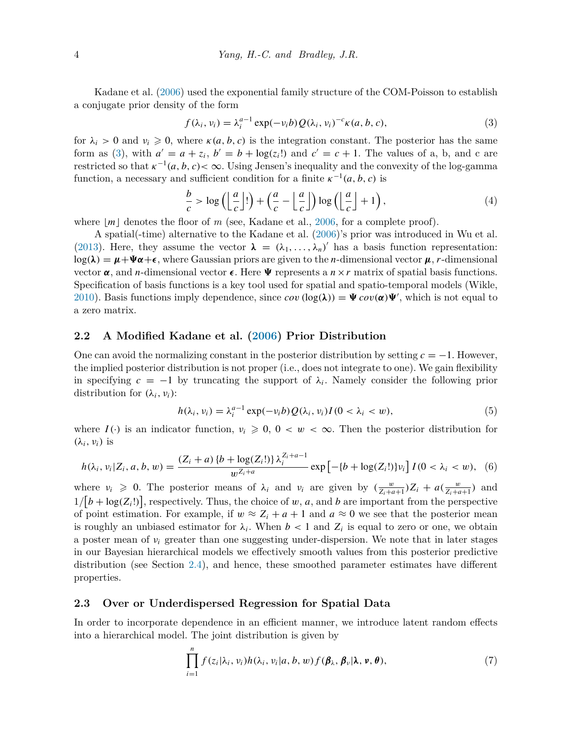Kadane et al. [\(2006](#page-12-12)) used the exponential family structure of the COM-Poisson to establish a conjugate prior density of the form

<span id="page-3-0"></span>
$$
f(\lambda_i, v_i) = \lambda_i^{a-1} \exp(-v_i b) Q(\lambda_i, v_i)^{-c} \kappa(a, b, c), \qquad (3)
$$

for  $\lambda_i > 0$  and  $\nu_i \geq 0$ , where  $\kappa(a, b, c)$  is the integration constant. The posterior has the same form as [\(3\)](#page-3-0), with  $a' = a + z_i$ ,  $b' = b + \log(z_i!)$  and  $c' = c + 1$ . The values of a, b, and c are restricted so that  $\kappa^{-1}(a, b, c) < \infty$ . Using Jensen's inequality and the convexity of the log-gamma function, a necessary and sufficient condition for a finite  $\kappa^{-1}(a, b, c)$  is

<span id="page-3-3"></span>
$$
\frac{b}{c} > \log\left(\left\lfloor \frac{a}{c} \right\rfloor!\right) + \left(\frac{a}{c} - \left\lfloor \frac{a}{c} \right\rfloor\right) \log\left(\left\lfloor \frac{a}{c} \right\rfloor + 1\right),\tag{4}
$$

where  $|m|$  denotes the floor of m (see, Kadane et al., [2006](#page-12-12), for a complete proof).

A spatial(-time) alternative to the Kadane et al. [\(2006](#page-12-12))'s prior was introduced in Wu et al. [\(2013](#page-12-8)). Here, they assume the vector  $\lambda = (\lambda_1, \ldots, \lambda_n)'$  has a basis function representation:  $log(\lambda) = \mu + \Psi \alpha + \epsilon$ , where Gaussian priors are given to the *n*-dimensional vector  $\mu$ , *r*-dimensional vector  $\alpha$ , and *n*-dimensional vector  $\epsilon$ . Here  $\Psi$  represents a  $n \times r$  matrix of spatial basis functions. Specification of basis functions is a key tool used for spatial and spatio-temporal models (Wikle, [2010](#page-12-15)). Basis functions imply dependence, since  $cov(\log(\lambda)) = \Psi cov(\alpha)\Psi'$ , which is not equal to a zero matrix.

#### **2.2 A Modified Kadane et al. ([2006\)](#page-12-12) Prior Distribution**

One can avoid the normalizing constant in the posterior distribution by setting  $c = -1$ . However, the implied posterior distribution is not proper (i.e., does not integrate to one). We gain flexibility in specifying  $c = -1$  by truncating the support of  $\lambda_i$ . Namely consider the following prior distribution for  $(\lambda_i, \nu_i)$ :

<span id="page-3-1"></span>
$$
h(\lambda_i, \nu_i) = \lambda_i^{a-1} \exp(-\nu_i b) Q(\lambda_i, \nu_i) I(0 < \lambda_i < w), \tag{5}
$$

where  $I(\cdot)$  is an indicator function,  $v_i \geqslant 0$ ,  $0 < w < \infty$ . Then the posterior distribution for  $(\lambda_i, \nu_i)$  is

$$
h(\lambda_i, \nu_i | Z_i, a, b, w) = \frac{(Z_i + a) \{b + \log(Z_i!)\} \lambda_i^{Z_i + a - 1}}{w^{Z_i + a}} \exp\left[-\{b + \log(Z_i!)\} \nu_i\right] I(0 < \lambda_i < w), \tag{6}
$$

where  $v_i \geq 0$ . The posterior means of  $\lambda_i$  and  $v_i$  are given by  $\left(\frac{w}{Z_i+a+1}\right)Z_i + a\left(\frac{w}{Z_i+a+1}\right)$  and  $1/[b + \log(Z_i!)]$ , respectively. Thus, the choice of *w*, *a*, and *b* are important from the perspective of point estimation. For example, if  $w \approx Z_i + a + 1$  and  $a \approx 0$  we see that the posterior mean is roughly an unbiased estimator for  $\lambda_i$ . When  $b < 1$  and  $Z_i$  is equal to zero or one, we obtain a poster mean of *νi* greater than one suggesting under-dispersion. We note that in later stages in our Bayesian hierarchical models we effectively smooth values from this posterior predictive distribution (see Section [2.4](#page-4-0)), and hence, these smoothed parameter estimates have different properties.

#### **2.3 Over or Underdispersed Regression for Spatial Data**

In order to incorporate dependence in an efficient manner, we introduce latent random effects into a hierarchical model. The joint distribution is given by

<span id="page-3-2"></span>
$$
\prod_{i=1}^{n} f(z_i|\lambda_i, v_i) h(\lambda_i, v_i|a, b, w) f(\boldsymbol{\beta}_{\lambda}, \boldsymbol{\beta}_{\nu}|\lambda, \nu, \boldsymbol{\theta}), \qquad (7)
$$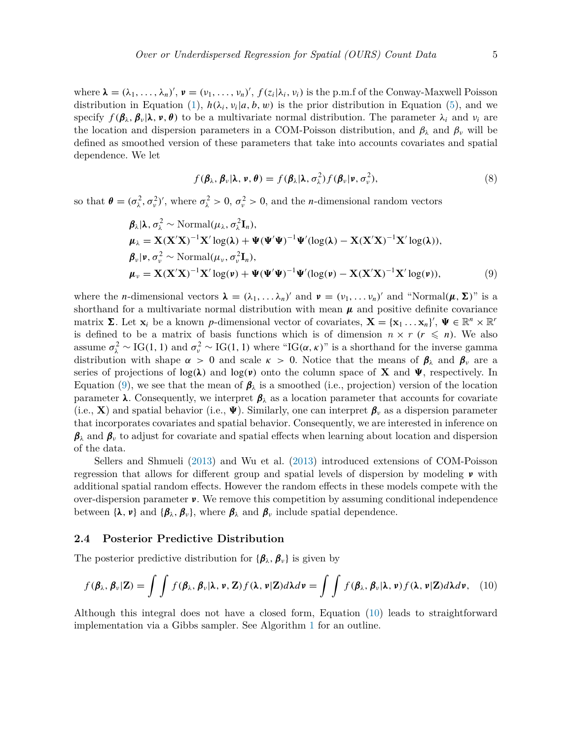where  $\lambda = (\lambda_1, \ldots, \lambda_n)'$ ,  $\nu = (\nu_1, \ldots, \nu_n)'$ ,  $f(z_i | \lambda_i, \nu_i)$  is the p.m.f of the Conway-Maxwell Poisson distribution in Equation ([1](#page-2-1)),  $h(\lambda_i, v_i|a, b, w)$  is the prior distribution in Equation [\(5\)](#page-3-1), and we specify  $f(\beta_\lambda, \beta_\nu | \lambda, \nu, \theta)$  to be a multivariate normal distribution. The parameter  $\lambda_i$  and  $\nu_i$  are the location and dispersion parameters in a COM-Poisson distribution, and  $\beta_{\lambda}$  and  $\beta_{\nu}$  will be defined as smoothed version of these parameters that take into accounts covariates and spatial dependence. We let

<span id="page-4-1"></span>
$$
f(\boldsymbol{\beta}_{\lambda},\boldsymbol{\beta}_{\nu}|\boldsymbol{\lambda},\boldsymbol{\nu},\boldsymbol{\theta})=f(\boldsymbol{\beta}_{\lambda}|\boldsymbol{\lambda},\sigma_{\lambda}^{2})f(\boldsymbol{\beta}_{\nu}|\boldsymbol{\nu},\sigma_{\nu}^{2}),
$$
\n(8)

so that  $\theta = (\sigma_\lambda^2, \sigma_\nu^2)'$ , where  $\sigma_\lambda^2 > 0$ ,  $\sigma_\nu^2 > 0$ , and the *n*-dimensional random vectors

$$
\boldsymbol{\beta}_{\lambda} | \boldsymbol{\lambda}, \sigma_{\lambda}^{2} \sim \text{Normal}(\mu_{\lambda}, \sigma_{\lambda}^{2} \mathbf{I}_{n}),
$$
\n
$$
\boldsymbol{\mu}_{\lambda} = \mathbf{X} (\mathbf{X}' \mathbf{X})^{-1} \mathbf{X}' \log(\lambda) + \boldsymbol{\Psi} (\boldsymbol{\Psi}' \boldsymbol{\Psi})^{-1} \boldsymbol{\Psi}' (\log(\lambda) - \mathbf{X} (\mathbf{X}' \mathbf{X})^{-1} \mathbf{X}' \log(\lambda)),
$$
\n
$$
\boldsymbol{\beta}_{\nu} | \boldsymbol{\nu}, \sigma_{\nu}^{2} \sim \text{Normal}(\mu_{\nu}, \sigma_{\nu}^{2} \mathbf{I}_{n}),
$$
\n
$$
\boldsymbol{\mu}_{\nu} = \mathbf{X} (\mathbf{X}' \mathbf{X})^{-1} \mathbf{X}' \log(\nu) + \boldsymbol{\Psi} (\boldsymbol{\Psi}' \boldsymbol{\Psi})^{-1} \boldsymbol{\Psi}' (\log(\nu) - \mathbf{X} (\mathbf{X}' \mathbf{X})^{-1} \mathbf{X}' \log(\nu)),
$$
\n(9)

where the *n*-dimensional vectors  $\lambda = (\lambda_1, \ldots, \lambda_n)'$  and  $\nu = (\nu_1, \ldots, \nu_n)'$  and "Normal $(\mu, \Sigma)$ " is a shorthand for a multivariate normal distribution with mean  $\mu$  and positive definite covariance matrix  $\Sigma$ . Let  $\mathbf{x}_i$  be a known *p*-dimensional vector of covariates,  $\mathbf{X} = {\mathbf{x}_1 \dots \mathbf{x}_n}^{\prime}, \mathbf{\Psi} \in \mathbb{R}^n \times \mathbb{R}^r$ is defined to be a matrix of basis functions which is of dimension  $n \times r$  ( $r \leq n$ ). We also assume  $\sigma_{\lambda}^2 \sim \text{IG}(1, 1)$  and  $\sigma_{\nu}^2 \sim \text{IG}(1, 1)$  where "IG( $\alpha, \kappa$ )" is a shorthand for the inverse gamma distribution with shape  $\alpha > 0$  and scale  $\kappa > 0$ . Notice that the means of  $\beta_{\lambda}$  and  $\beta_{\nu}$  are a series of projections of  $log(\lambda)$  and  $log(\nu)$  onto the column space of **X** and  $\Psi$ , respectively. In Equation [\(9\)](#page-4-1), we see that the mean of *β<sup>λ</sup>* is a smoothed (i.e., projection) version of the location parameter  $\lambda$ . Consequently, we interpret  $\beta_{\lambda}$  as a location parameter that accounts for covariate (i.e., **X**) and spatial behavior (i.e.,  $\Psi$ ). Similarly, one can interpret  $\beta_\nu$  as a dispersion parameter that incorporates covariates and spatial behavior. Consequently, we are interested in inference on *β<sup>λ</sup>* and *β<sup>ν</sup>* to adjust for covariate and spatial effects when learning about location and dispersion of the data.

Sellers and Shmueli [\(2013](#page-12-16)) and Wu et al. [\(2013](#page-12-8)) introduced extensions of COM-Poisson regression that allows for different group and spatial levels of dispersion by modeling *ν* with additional spatial random effects. However the random effects in these models compete with the over-dispersion parameter *ν*. We remove this competition by assuming conditional independence between  $\{\lambda, \nu\}$  and  $\{\beta_\lambda, \beta_\nu\}$ , where  $\beta_\lambda$  and  $\beta_\nu$  include spatial dependence.

#### <span id="page-4-0"></span>**2.4 Posterior Predictive Distribution**

The posterior predictive distribution for  ${\{\beta_\lambda,\beta_\nu\}}$  is given by

<span id="page-4-2"></span>
$$
f(\boldsymbol{\beta}_{\lambda},\boldsymbol{\beta}_{\nu}|\mathbf{Z})=\int\int f(\boldsymbol{\beta}_{\lambda},\boldsymbol{\beta}_{\nu}|\boldsymbol{\lambda},\boldsymbol{\nu},\mathbf{Z})f(\boldsymbol{\lambda},\boldsymbol{\nu}|\mathbf{Z})d\boldsymbol{\lambda}d\boldsymbol{\nu}=\int\int f(\boldsymbol{\beta}_{\lambda},\boldsymbol{\beta}_{\nu}|\boldsymbol{\lambda},\boldsymbol{\nu})f(\boldsymbol{\lambda},\boldsymbol{\nu}|\mathbf{Z})d\boldsymbol{\lambda}d\boldsymbol{\nu},\quad(10)
$$

Although this integral does not have a closed form, Equation [\(10](#page-4-2)) leads to straightforward implementation via a Gibbs sampler. See Algorithm [1](#page-5-1) for an outline.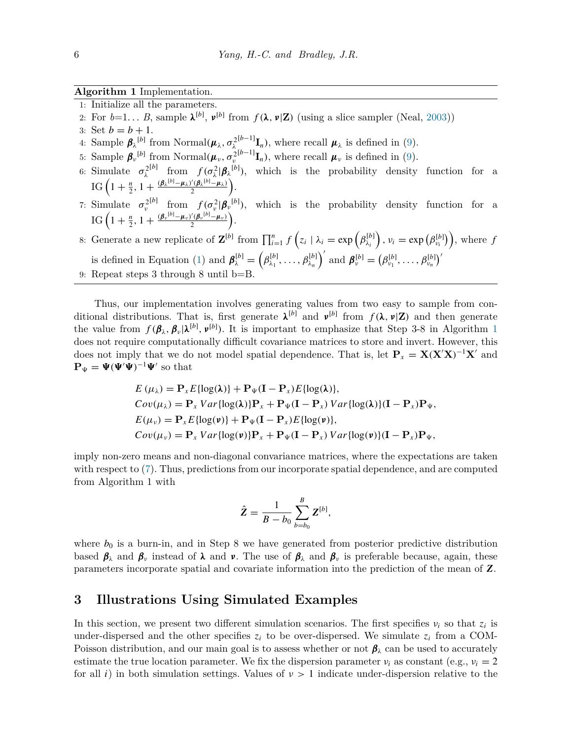#### <span id="page-5-1"></span>**Algorithm 1** Implementation.

- 1: Initialize all the parameters.
- 2: For  $b=1...$  *B*, sample  $\lambda^{[b]}$ ,  $\nu^{[b]}$  from  $f(\lambda, \nu | \mathbf{Z})$  (using a slice sampler (Neal, [2003\)](#page-12-14))
- 3: Set  $b = b + 1$ .
- 4: Sample  $\boldsymbol{\beta}_{\lambda}^{[b]}$  from Normal $(\boldsymbol{\mu}_{\lambda}, \sigma_{\lambda}^2)$  $[<sup>{b-1}</sup>$ **I**<sub>n</sub>), where recall  $\mu_{\lambda}$  is defined in ([9](#page-4-1)).
- 5: Sample  $\beta_{\nu}^{[b]}$  from Normal $(\mu_{\nu}, \sigma_{\nu}^2)$  $[<sup>{b-1}</sup>$ **I**<sub>n</sub>), where recall  $\mu_{\nu}$  is defined in [\(9\)](#page-4-1).
- 6: Simulate  $\sigma_{\lambda}^{2^{[b]}}$  from  $f(\sigma_{\lambda}^{2}|\boldsymbol{\beta}_{\lambda}^{[b]})$ , which is the probability density function for a  $\text{IG}\left(1+\frac{n}{2},1+\frac{(\beta_{\lambda}{}^{[b]}-\mu_{\lambda})'(\beta_{\lambda}{}^{[b]}-\mu_{\lambda})}{2}\right)$  $\frac{\Gamma(\beta_{\lambda}^{[b]}-\mu_{\lambda})}{2}\bigg).$
- 7: Simulate  $\sigma_{\nu}^{2}[b]$  from  $f(\sigma_{\nu}^{2}|\boldsymbol{\beta}_{\nu}^{[b]})$ , which is the probability density function for a  $\text{IG}\left(1+\frac{n}{2},1+\frac{(\pmb{\beta}_{\nu}{}^{[b]}-\pmb{\mu}_{\nu})'(\pmb{\beta}_{\nu}{}^{[b]}-\pmb{\mu}_{\nu})}{2}\right)$  $\frac{1}{2}(\beta_{\nu}^{[b]}-\mu_{\nu})$ .
- 8: Generate a new replicate of  $\mathbf{Z}^{[b]}$  from  $\prod_{i=1}^{n} f(z_i | \lambda_i = \exp(\beta_{\lambda_i}^{[b]})$ ,  $v_i = \exp(\beta_{v_i}^{[b]})$ , where  $f$ is defined in Equation [\(1\)](#page-2-1) and  $\boldsymbol{\beta}_{\lambda}^{[b]} = (\beta_{\lambda_1}^{[b]}, \ldots, \beta_{\lambda_n}^{[b]})'$  and  $\boldsymbol{\beta}_{\nu}^{[b]} = (\beta_{\nu_1}^{[b]}, \ldots, \beta_{\nu_n}^{[b]})'$ 9: Repeat steps 3 through 8 until b=B.

Thus, our implementation involves generating values from two easy to sample from conditional distributions. That is, first generate  $\lambda^{[b]}$  and  $\nu^{[b]}$  from  $f(\lambda, \nu | \mathbf{Z})$  and then generate the value from  $f(\beta_\lambda, \beta_\nu | \lambda^{[b]}, \nu^{[b]})$ . It is important to emphasize that Step 3-8 in Algorithm [1](#page-5-1) does not require computationally difficult covariance matrices to store and invert. However, this does not imply that we do not model spatial dependence. That is, let  $P_x = X(X|X)^{-1}X'$  and  $\mathbf{P}_{\Psi} = \mathbf{\Psi}(\mathbf{\Psi}'\mathbf{\Psi})^{-1}\mathbf{\Psi}'$  so that

$$
E(\mu_{\lambda}) = \mathbf{P}_{x} E \{ \log(\lambda) \} + \mathbf{P}_{\Psi} (\mathbf{I} - \mathbf{P}_{x}) E \{ \log(\lambda) \},
$$
  
\n
$$
Cov(\mu_{\lambda}) = \mathbf{P}_{x} Var \{ \log(\lambda) \} \mathbf{P}_{x} + \mathbf{P}_{\Psi} (\mathbf{I} - \mathbf{P}_{x}) Var \{ \log(\lambda) \} (\mathbf{I} - \mathbf{P}_{x}) \mathbf{P}_{\Psi},
$$
  
\n
$$
E(\mu_{\nu}) = \mathbf{P}_{x} E \{ \log(\nu) \} + \mathbf{P}_{\Psi} (\mathbf{I} - \mathbf{P}_{x}) E \{ \log(\nu) \},
$$
  
\n
$$
Cov(\mu_{\nu}) = \mathbf{P}_{x} Var \{ \log(\nu) \} \mathbf{P}_{x} + \mathbf{P}_{\Psi} (\mathbf{I} - \mathbf{P}_{x}) Var \{ \log(\nu) \} (\mathbf{I} - \mathbf{P}_{x}) \mathbf{P}_{\Psi},
$$

imply non-zero means and non-diagonal convariance matrices, where the expectations are taken with respect to [\(7\)](#page-3-2). Thus, predictions from our incorporate spatial dependence, and are computed from Algorithm 1 with

$$
\hat{Z} = \frac{1}{B - b_0} \sum_{b = b_0}^{B} Z^{[b]},
$$

where  $b_0$  is a burn-in, and in Step 8 we have generated from posterior predictive distribution based  $\beta_{\lambda}$  and  $\beta_{\nu}$  instead of  $\lambda$  and  $\nu$ . The use of  $\beta_{\lambda}$  and  $\beta_{\nu}$  is preferable because, again, these parameters incorporate spatial and covariate information into the prediction of the mean of *Z*.

### <span id="page-5-0"></span>**3 Illustrations Using Simulated Examples**

In this section, we present two different simulation scenarios. The first specifies *νi* so that *zi* is under-dispersed and the other specifies  $z_i$  to be over-dispersed. We simulate  $z_i$  from a COM-Poisson distribution, and our main goal is to assess whether or not  $\beta_{\lambda}$  can be used to accurately estimate the true location parameter. We fix the dispersion parameter  $v_i$  as constant (e.g.,  $v_i = 2$ ) for all *i*) in both simulation settings. Values of *ν >* 1 indicate under-dispersion relative to the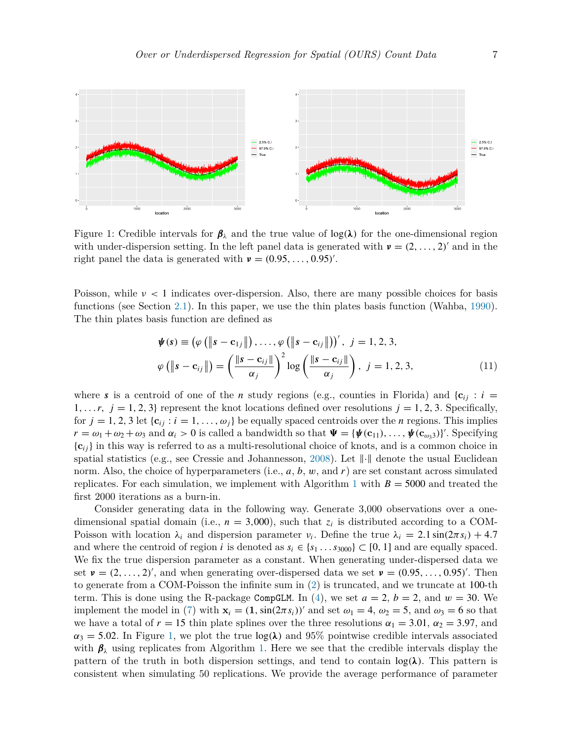

<span id="page-6-0"></span>Figure 1: Credible intervals for  $\beta_{\lambda}$  and the true value of log( $\lambda$ ) for the one-dimensional region with under-dispersion setting. In the left panel data is generated with  $v = (2, \ldots, 2)$  and in the right panel the data is generated with  $v = (0.95, \ldots, 0.95)'$ .

Poisson, while *ν <* 1 indicates over-dispersion. Also, there are many possible choices for basis functions (see Section [2.1\)](#page-2-2). In this paper, we use the thin plates basis function (Wahba, [1990\)](#page-12-17). The thin plates basis function are defined as

<span id="page-6-1"></span>
$$
\boldsymbol{\psi}(s) \equiv (\varphi \left( \left\| s - \mathbf{c}_{1j} \right\|) , \dots, \varphi \left( \left\| s - \mathbf{c}_{ij} \right\| \right) \right)', \quad j = 1, 2, 3,
$$
\n
$$
\varphi \left( \left\| s - \mathbf{c}_{ij} \right\| \right) = \left( \frac{\left\| s - \mathbf{c}_{ij} \right\|}{\alpha_j} \right)^2 \log \left( \frac{\left\| s - \mathbf{c}_{ij} \right\|}{\alpha_j} \right), \quad j = 1, 2, 3,
$$
\n(11)

where *s* is a centroid of one of the *n* study regions (e.g., counties in Florida) and  $\{c_{ij}: i =$ 1,...,  $j = 1, 2, 3$  represent the knot locations defined over resolutions  $j = 1, 2, 3$ . Specifically, for  $j = 1, 2, 3$  let  $\{c_{ij} : i = 1, \ldots, \omega_j\}$  be equally spaced centroids over the *n* regions. This implies  $r = \omega_1 + \omega_2 + \omega_3$  and  $\alpha_i > 0$  is called a bandwidth so that  $\Psi = {\psi(\mathbf{c}_{11}), \dots, \psi(\mathbf{c}_{\omega_33})}$ . Specifying {**c***ij* } in this way is referred to as a multi-resolutional choice of knots, and is a common choice in spatial statistics (e.g., see Cressie and Johannesson, [2008\)](#page-11-12). Let  $\|\cdot\|$  denote the usual Euclidean norm. Also, the choice of hyperparameters (i.e., *a*, *b*, *w*, and *r*) are set constant across simulated replicates. For each simulation, we implement with Algorithm [1](#page-5-1) with  $B = 5000$  and treated the first 2000 iterations as a burn-in.

Consider generating data in the following way. Generate 3,000 observations over a onedimensional spatial domain (i.e.,  $n = 3,000$ ), such that  $z_i$  is distributed according to a COM-Poisson with location  $\lambda_i$  and dispersion parameter  $\nu_i$ . Define the true  $\lambda_i = 2.1 \sin(2\pi s_i) + 4.7$ and where the centroid of region *i* is denoted as  $s_i \in \{s_1, \ldots, s_{3000}\} \subset [0, 1]$  and are equally spaced. We fix the true dispersion parameter as a constant. When generating under-dispersed data we set  $v = (2, \ldots, 2)$ , and when generating over-dispersed data we set  $v = (0.95, \ldots, 0.95)$ . Then to generate from a COM-Poisson the infinite sum in [\(2\)](#page-2-3) is truncated, and we truncate at 100-th term. This is done using the R-package CompGLM. In  $(4)$ , we set  $a = 2$ ,  $b = 2$ , and  $w = 30$ . We implement the model in [\(7\)](#page-3-2) with  $\mathbf{x}_i = (1, \sin(2\pi s_i))'$  and set  $\omega_1 = 4$ ,  $\omega_2 = 5$ , and  $\omega_3 = 6$  so that we have a total of  $r = 15$  thin plate splines over the three resolutions  $\alpha_1 = 3.01$ ,  $\alpha_2 = 3.97$ , and  $\alpha_3 = 5.02$ . In Figure [1](#page-6-0), we plot the true  $\log(\lambda)$  and 95% pointwise credible intervals associated with  $\beta_{\lambda}$  using replicates from Algorithm [1.](#page-5-1) Here we see that the credible intervals display the pattern of the truth in both dispersion settings, and tend to contain  $log(\lambda)$ . This pattern is consistent when simulating 50 replications. We provide the average performance of parameter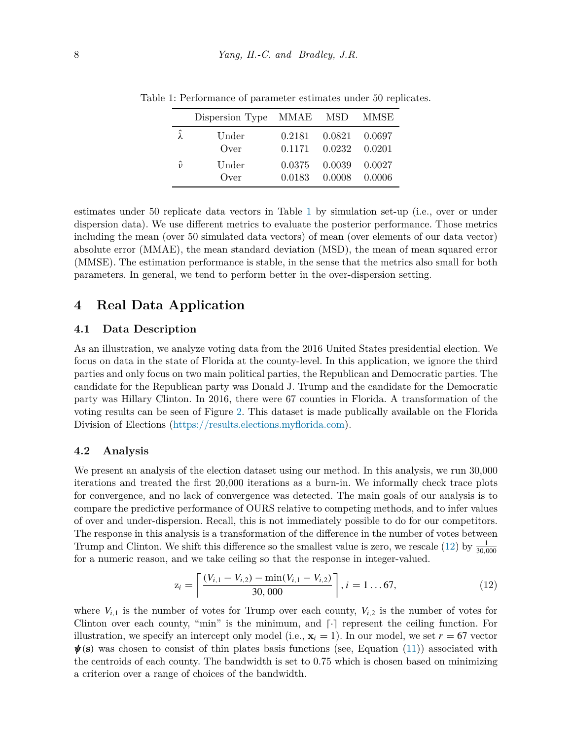<span id="page-7-1"></span>

|                 | Dispersion Type MMAE MSD MMSE |                                                          |  |
|-----------------|-------------------------------|----------------------------------------------------------|--|
| $\hat{\lambda}$ | Under<br>Over                 | $0.2181$ $0.0821$ $0.0697$<br>$0.1171$ $0.0232$ $0.0201$ |  |
| $\hat{v}$       | Under<br>Over                 | $0.0375$ $0.0039$ $0.0027$<br>$0.0183$ $0.0008$ $0.0006$ |  |

Table 1: Performance of parameter estimates under 50 replicates.

estimates under 50 replicate data vectors in Table [1](#page-7-1) by simulation set-up (i.e., over or under dispersion data). We use different metrics to evaluate the posterior performance. Those metrics including the mean (over 50 simulated data vectors) of mean (over elements of our data vector) absolute error (MMAE), the mean standard deviation (MSD), the mean of mean squared error (MMSE). The estimation performance is stable, in the sense that the metrics also small for both parameters. In general, we tend to perform better in the over-dispersion setting.

### <span id="page-7-0"></span>**4 Real Data Application**

#### **4.1 Data Description**

As an illustration, we analyze voting data from the 2016 United States presidential election. We focus on data in the state of Florida at the county-level. In this application, we ignore the third parties and only focus on two main political parties, the Republican and Democratic parties. The candidate for the Republican party was Donald J. Trump and the candidate for the Democratic party was Hillary Clinton. In 2016, there were 67 counties in Florida. A transformation of the voting results can be seen of Figure [2.](#page-8-0) This dataset is made publically available on the Florida Division of Elections [\(https://results.elections.myflorida.com](https://results.elections.myflorida.com)).

#### **4.2 Analysis**

We present an analysis of the election dataset using our method. In this analysis, we run 30,000 iterations and treated the first 20,000 iterations as a burn-in. We informally check trace plots for convergence, and no lack of convergence was detected. The main goals of our analysis is to compare the predictive performance of OURS relative to competing methods, and to infer values of over and under-dispersion. Recall, this is not immediately possible to do for our competitors. The response in this analysis is a transformation of the difference in the number of votes between Trump and Clinton. We shift this difference so the smallest value is zero, we rescale [\(12](#page-7-2)) by  $\frac{1}{30,000}$ for a numeric reason, and we take ceiling so that the response in integer-valued.

<span id="page-7-2"></span>
$$
z_i = \left\lceil \frac{(V_{i,1} - V_{i,2}) - \min(V_{i,1} - V_{i,2})}{30,000} \right\rceil, i = 1...67,
$$
\n(12)

where  $V_{i,1}$  is the number of votes for Trump over each county,  $V_{i,2}$  is the number of votes for Clinton over each county, "min" is the minimum, and  $\lceil \cdot \rceil$  represent the ceiling function. For illustration, we specify an intercept only model (i.e.,  $\mathbf{x}_i = 1$ ). In our model, we set  $r = 67$  vector *ψ(***s***)* was chosen to consist of thin plates basis functions (see, Equation [\(11](#page-6-1))) associated with the centroids of each county. The bandwidth is set to 0.75 which is chosen based on minimizing a criterion over a range of choices of the bandwidth.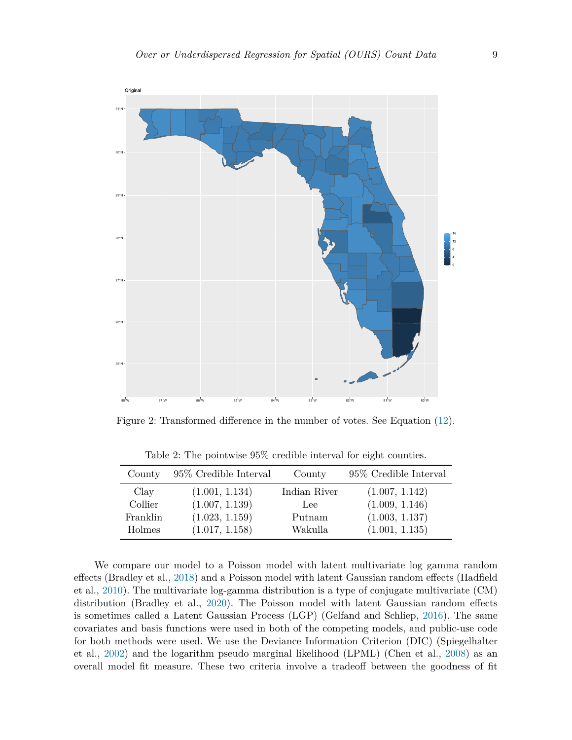

Figure 2: Transformed difference in the number of votes. See Equation [\(12](#page-7-2)).

| County   | $95\%$ Credible Interval | County       | 95% Credible Interval |
|----------|--------------------------|--------------|-----------------------|
| Clay     | (1.001, 1.134)           | Indian River | (1.007, 1.142)        |
| Collier  | (1.007, 1.139)           | Lee          | (1.009, 1.146)        |
| Franklin | (1.023, 1.159)           | Putnam       | (1.003, 1.137)        |
| Holmes   | (1.017, 1.158)           | Wakulla      | (1.001, 1.135)        |

<span id="page-8-0"></span>Table 2: The pointwise 95% credible interval for eight counties.

We compare our model to a Poisson model with latent multivariate log gamma random effects (Bradley et al., [2018\)](#page-11-9) and a Poisson model with latent Gaussian random effects (Hadfield et al., [2010](#page-12-18)). The multivariate log-gamma distribution is a type of conjugate multivariate (CM) distribution (Bradley et al., [2020\)](#page-11-13). The Poisson model with latent Gaussian random effects is sometimes called a Latent Gaussian Process (LGP) (Gelfand and Schliep, [2016\)](#page-11-14). The same covariates and basis functions were used in both of the competing models, and public-use code for both methods were used. We use the Deviance Information Criterion (DIC) (Spiegelhalter et al., [2002](#page-12-19)) and the logarithm pseudo marginal likelihood (LPML) (Chen et al., [2008\)](#page-11-15) as an overall model fit measure. These two criteria involve a tradeoff between the goodness of fit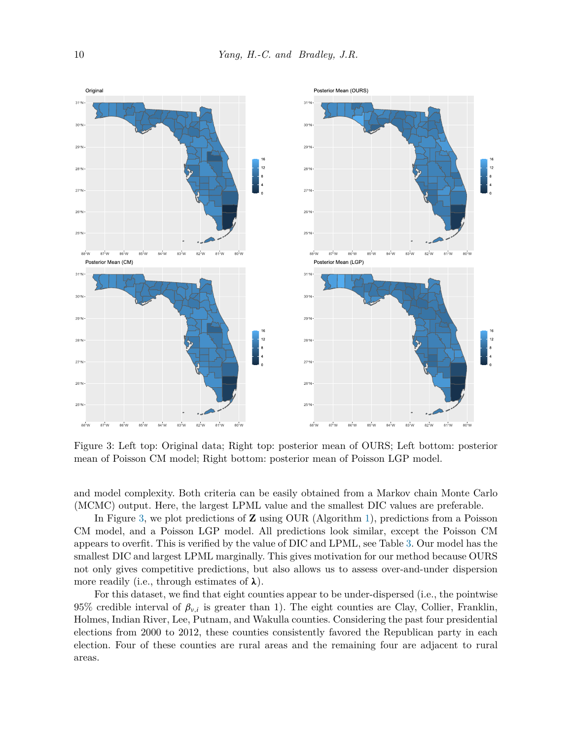

<span id="page-9-0"></span>Figure 3: Left top: Original data; Right top: posterior mean of OURS; Left bottom: posterior mean of Poisson CM model; Right bottom: posterior mean of Poisson LGP model.

and model complexity. Both criteria can be easily obtained from a Markov chain Monte Carlo (MCMC) output. Here, the largest LPML value and the smallest DIC values are preferable.

In Figure [3](#page-9-0), we plot predictions of **Z** using OUR (Algorithm [1](#page-5-1)), predictions from a Poisson CM model, and a Poisson LGP model. All predictions look similar, except the Poisson CM appears to overfit. This is verified by the value of DIC and LPML, see Table [3](#page-10-1). Our model has the smallest DIC and largest LPML marginally. This gives motivation for our method because OURS not only gives competitive predictions, but also allows us to assess over-and-under dispersion more readily (i.e., through estimates of *λ*).

For this dataset, we find that eight counties appear to be under-dispersed (i.e., the pointwise 95% credible interval of  $\beta_{\nu,i}$  is greater than 1). The eight counties are Clay, Collier, Franklin, Holmes, Indian River, Lee, Putnam, and Wakulla counties. Considering the past four presidential elections from 2000 to 2012, these counties consistently favored the Republican party in each election. Four of these counties are rural areas and the remaining four are adjacent to rural areas.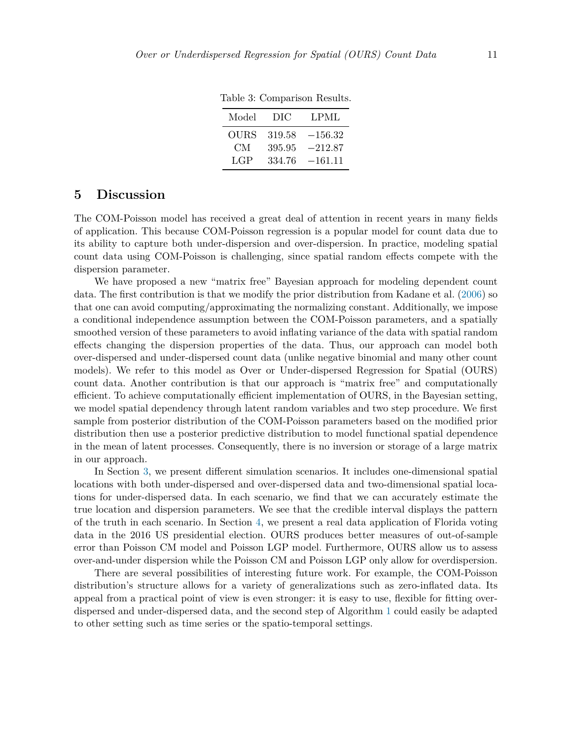<span id="page-10-1"></span>

| Model | DIC    | LPML      |
|-------|--------|-----------|
| OURS  | 319.58 | $-156.32$ |
| CМ    | 395.95 | $-212.87$ |
| LGP   | 334.76 | $-161.11$ |

Table 3: Comparison Results.

### <span id="page-10-0"></span>**5 Discussion**

The COM-Poisson model has received a great deal of attention in recent years in many fields of application. This because COM-Poisson regression is a popular model for count data due to its ability to capture both under-dispersion and over-dispersion. In practice, modeling spatial count data using COM-Poisson is challenging, since spatial random effects compete with the dispersion parameter.

We have proposed a new "matrix free" Bayesian approach for modeling dependent count data. The first contribution is that we modify the prior distribution from Kadane et al. [\(2006\)](#page-12-12) so that one can avoid computing/approximating the normalizing constant. Additionally, we impose a conditional independence assumption between the COM-Poisson parameters, and a spatially smoothed version of these parameters to avoid inflating variance of the data with spatial random effects changing the dispersion properties of the data. Thus, our approach can model both over-dispersed and under-dispersed count data (unlike negative binomial and many other count models). We refer to this model as Over or Under-dispersed Regression for Spatial (OURS) count data. Another contribution is that our approach is "matrix free" and computationally efficient. To achieve computationally efficient implementation of OURS, in the Bayesian setting, we model spatial dependency through latent random variables and two step procedure. We first sample from posterior distribution of the COM-Poisson parameters based on the modified prior distribution then use a posterior predictive distribution to model functional spatial dependence in the mean of latent processes. Consequently, there is no inversion or storage of a large matrix in our approach.

In Section [3,](#page-5-0) we present different simulation scenarios. It includes one-dimensional spatial locations with both under-dispersed and over-dispersed data and two-dimensional spatial locations for under-dispersed data. In each scenario, we find that we can accurately estimate the true location and dispersion parameters. We see that the credible interval displays the pattern of the truth in each scenario. In Section [4](#page-7-0), we present a real data application of Florida voting data in the 2016 US presidential election. OURS produces better measures of out-of-sample error than Poisson CM model and Poisson LGP model. Furthermore, OURS allow us to assess over-and-under dispersion while the Poisson CM and Poisson LGP only allow for overdispersion.

There are several possibilities of interesting future work. For example, the COM-Poisson distribution's structure allows for a variety of generalizations such as zero-inflated data. Its appeal from a practical point of view is even stronger: it is easy to use, flexible for fitting overdispersed and under-dispersed data, and the second step of Algorithm [1](#page-5-1) could easily be adapted to other setting such as time series or the spatio-temporal settings.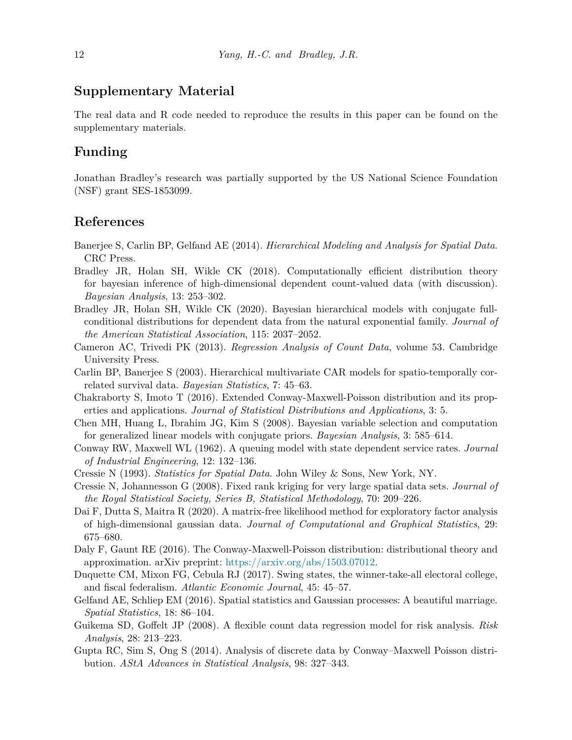### **Supplementary Material**

The real data and R code needed to reproduce the results in this paper can be found on the supplementary materials.

### **Funding**

Jonathan Bradley's research was partially supported by the US National Science Foundation (NSF) grant SES-1853099.

### **References**

- <span id="page-11-2"></span>Banerjee S, Carlin BP, Gelfand AE (2014). *Hierarchical Modeling and Analysis for Spatial Data*. CRC Press.
- <span id="page-11-9"></span>Bradley JR, Holan SH, Wikle CK (2018). Computationally efficient distribution theory for bayesian inference of high-dimensional dependent count-valued data (with discussion). *Bayesian Analysis*, 13: 253–302.
- <span id="page-11-13"></span>Bradley JR, Holan SH, Wikle CK (2020). Bayesian hierarchical models with conjugate fullconditional distributions for dependent data from the natural exponential family. *Journal of the American Statistical Association*, 115: 2037–2052.
- <span id="page-11-5"></span>Cameron AC, Trivedi PK (2013). *Regression Analysis of Count Data*, volume 53. Cambridge University Press.
- <span id="page-11-10"></span>Carlin BP, Banerjee S (2003). Hierarchical multivariate CAR models for spatio-temporally correlated survival data. *Bayesian Statistics*, 7: 45–63.
- <span id="page-11-8"></span>Chakraborty S, Imoto T (2016). Extended Conway-Maxwell-Poisson distribution and its properties and applications. *Journal of Statistical Distributions and Applications*, 3: 5.
- <span id="page-11-15"></span>Chen MH, Huang L, Ibrahim JG, Kim S (2008). Bayesian variable selection and computation for generalized linear models with conjugate priors. *Bayesian Analysis*, 3: 585–614.
- <span id="page-11-6"></span>Conway RW, Maxwell WL (1962). A queuing model with state dependent service rates. *Journal of Industrial Engineering*, 12: 132–136.
- <span id="page-11-1"></span>Cressie N (1993). *Statistics for Spatial Data*. John Wiley & Sons, New York, NY.
- <span id="page-11-12"></span>Cressie N, Johannesson G (2008). Fixed rank kriging for very large spatial data sets. *Journal of the Royal Statistical Society, Series B, Statistical Methodology*, 70: 209–226.
- <span id="page-11-11"></span>Dai F, Dutta S, Maitra R (2020). A matrix-free likelihood method for exploratory factor analysis of high-dimensional gaussian data. *Journal of Computational and Graphical Statistics*, 29: 675–680.
- <span id="page-11-7"></span>Daly F, Gaunt RE (2016). The Conway-Maxwell-Poisson distribution: distributional theory and approximation. arXiv preprint: <https://arxiv.org/abs/1503.07012>.
- <span id="page-11-0"></span>Duquette CM, Mixon FG, Cebula RJ (2017). Swing states, the winner-take-all electoral college, and fiscal federalism. *Atlantic Economic Journal*, 45: 45–57.
- <span id="page-11-14"></span>Gelfand AE, Schliep EM (2016). Spatial statistics and Gaussian processes: A beautiful marriage. *Spatial Statistics*, 18: 86–104.
- <span id="page-11-3"></span>Guikema SD, Goffelt JP (2008). A flexible count data regression model for risk analysis. *Risk Analysis*, 28: 213–223.
- <span id="page-11-4"></span>Gupta RC, Sim S, Ong S (2014). Analysis of discrete data by Conway–Maxwell Poisson distribution. *AStA Advances in Statistical Analysis*, 98: 327–343.